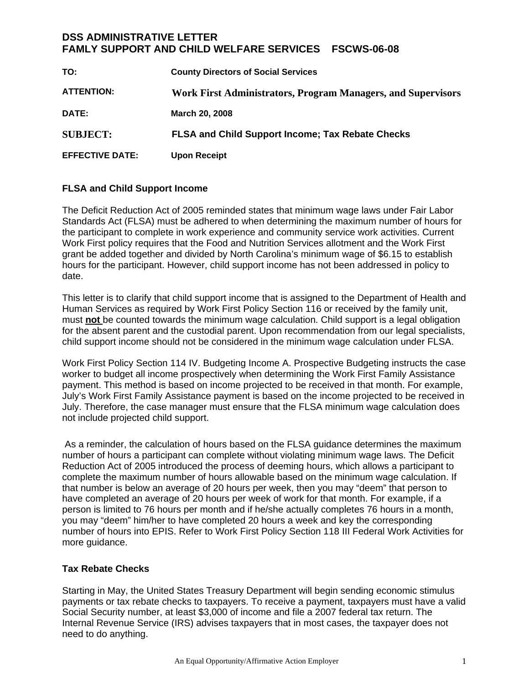## **DSS ADMINISTRATIVE LETTER FAMLY SUPPORT AND CHILD WELFARE SERVICES FSCWS-06-08**

| TO:                    | <b>County Directors of Social Services</b>                   |
|------------------------|--------------------------------------------------------------|
| <b>ATTENTION:</b>      | Work First Administrators, Program Managers, and Supervisors |
| DATE:                  | March 20, 2008                                               |
| <b>SUBJECT:</b>        | <b>FLSA and Child Support Income; Tax Rebate Checks</b>      |
| <b>EFFECTIVE DATE:</b> | <b>Upon Receipt</b>                                          |

## **FLSA and Child Support Income**

The Deficit Reduction Act of 2005 reminded states that minimum wage laws under Fair Labor Standards Act (FLSA) must be adhered to when determining the maximum number of hours for the participant to complete in work experience and community service work activities. Current Work First policy requires that the Food and Nutrition Services allotment and the Work First grant be added together and divided by North Carolina's minimum wage of \$6.15 to establish hours for the participant. However, child support income has not been addressed in policy to date.

This letter is to clarify that child support income that is assigned to the Department of Health and Human Services as required by Work First Policy Section 116 or received by the family unit, must **not** be counted towards the minimum wage calculation. Child support is a legal obligation for the absent parent and the custodial parent. Upon recommendation from our legal specialists, child support income should not be considered in the minimum wage calculation under FLSA.

Work First Policy Section 114 IV. Budgeting Income A. Prospective Budgeting instructs the case worker to budget all income prospectively when determining the Work First Family Assistance payment. This method is based on income projected to be received in that month. For example, July's Work First Family Assistance payment is based on the income projected to be received in July. Therefore, the case manager must ensure that the FLSA minimum wage calculation does not include projected child support.

 As a reminder, the calculation of hours based on the FLSA guidance determines the maximum number of hours a participant can complete without violating minimum wage laws. The Deficit Reduction Act of 2005 introduced the process of deeming hours, which allows a participant to complete the maximum number of hours allowable based on the minimum wage calculation. If that number is below an average of 20 hours per week, then you may "deem" that person to have completed an average of 20 hours per week of work for that month. For example, if a person is limited to 76 hours per month and if he/she actually completes 76 hours in a month, you may "deem" him/her to have completed 20 hours a week and key the corresponding number of hours into EPIS. Refer to Work First Policy Section 118 III Federal Work Activities for more guidance.

## **Tax Rebate Checks**

Starting in May, the United States Treasury Department will begin sending economic stimulus payments or tax rebate checks to taxpayers. To receive a payment, taxpayers must have a valid Social Security number, at least \$3,000 of income and file a 2007 federal tax return. The Internal Revenue Service (IRS) advises taxpayers that in most cases, the taxpayer does not need to do anything.